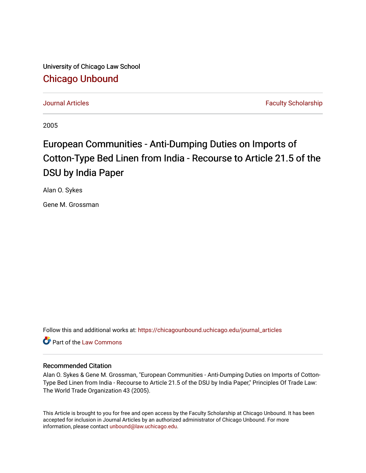University of Chicago Law School [Chicago Unbound](https://chicagounbound.uchicago.edu/)

[Journal Articles](https://chicagounbound.uchicago.edu/journal_articles) **Faculty Scholarship Journal Articles** 

2005

# European Communities - Anti-Dumping Duties on Imports of Cotton-Type Bed Linen from India - Recourse to Article 21.5 of the DSU by India Paper

Alan O. Sykes

Gene M. Grossman

Follow this and additional works at: [https://chicagounbound.uchicago.edu/journal\\_articles](https://chicagounbound.uchicago.edu/journal_articles?utm_source=chicagounbound.uchicago.edu%2Fjournal_articles%2F9758&utm_medium=PDF&utm_campaign=PDFCoverPages) 

**C** Part of the [Law Commons](http://network.bepress.com/hgg/discipline/578?utm_source=chicagounbound.uchicago.edu%2Fjournal_articles%2F9758&utm_medium=PDF&utm_campaign=PDFCoverPages)

## Recommended Citation

Alan O. Sykes & Gene M. Grossman, "European Communities - Anti-Dumping Duties on Imports of Cotton-Type Bed Linen from India - Recourse to Article 21.5 of the DSU by India Paper," Principles Of Trade Law: The World Trade Organization 43 (2005).

This Article is brought to you for free and open access by the Faculty Scholarship at Chicago Unbound. It has been accepted for inclusion in Journal Articles by an authorized administrator of Chicago Unbound. For more information, please contact [unbound@law.uchicago.edu](mailto:unbound@law.uchicago.edu).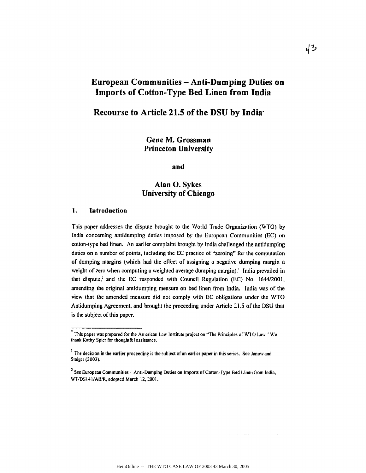# **European Communities - Anti-Dumping Duties on Imports of Cotton-Type Bed Linen from India**

# **Recourse to Article 21.5 of the DSU by India-**

**Gene M.** Grossman Princeton University

**and**

# **Alan 0. Sykes** University of Chicago

#### **1. Introduction**

This paper addresses the dispute brought to the World Trade Organization (WTO) by India concerning antidumping duties imposed **by** the European Communities (EC) on cotton-type bed linen. An earlier complaint brought by India challenged the antidumping duties on a number of points, including the EC practice of "zeroing" for the computation of dumping margins (which had the effiect of assigning a negative dumping margin a weight of 7ero when computing a weighted average dumping margin).' India prevailed in that dispute,' and the EC responded with Council Regulation (EC) No. 1644/2001, amending the original antidumping measure on bed linen from India. India was of the view that the amended measure did not comply with EC obligations under the WTO Antidumping Agreement, and brought the proceeding under Article 21.5 of the DSU that is the subject of this paper.

 $\sim 10^{-10}$ 

المتحدث والمتعارف والمتحدث

**<sup>,</sup>** This paper was prepared for the American Law Institute project on "The Principles or WTO Law.~ We thank Kathy Spier for thoughtful assistance.

**I** The decision in the earlier proceeding is the subject of an earlier paper in this series. **See** Janow and Slaiger **(2003).**

<sup>&</sup>lt;sup>2</sup> See European Communities - Anti-Dumping Duties on Imports of Cotton- lype Bed Linen from India, WT/DSI4I/AB!R, adopted March 12, 2001.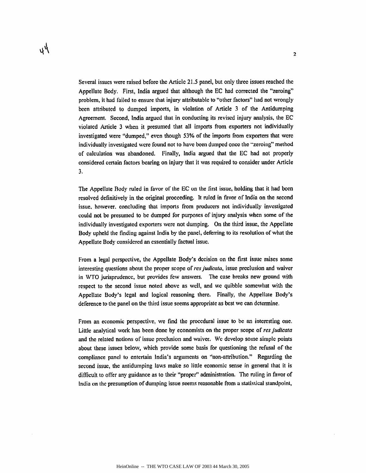Several issues were raised before the Article **21.5** panel, but only three issues reached the Appellate Body. First, India argued that although the **EC** had corrected the "zeroing" problem, it had failed to ensure that injury attributable to "other factors" had not wrongly been attributed to dumped imports, in violation of Article **3** of the Antidumping Agreement. Second, India argued that in conducting its revised injury analysis, the **EC** violated Article **3** when it presumed that all imports from exporters not individually investigated were "dumped," even though **53%** of the imports from exporters that were individually investigated were found not to have been dumped once the "zeroing" method of calculation was abandoned. Finally, India argued that the **EC** had not properly considered certain factors bearing on injury that it was required to consider under Article **3.**

The Appellate Body ruled in favor of the **EC** on the first issue, holding that it had been resolved definitively in the original proceeding. It ruled in favor of India on the second issue, however, concluding that imports from producers not individually investigated could not be presumed to be dumped for purposes of injury analysis when some of the individually investigated exporters were not dumping. On the third issue, the Appellate Body upheld the finding against India **by** the panel, defrerring to its resolution of what the Appellate Body considered an essentially factual issue.

From a legal perspective, the Appellate Body's decision on the first issue raises some interesting questions about the proper scope of *resjudicata,* issue preclusion and waiver in WTO jurisprudence, but provides few answers. The case breaks new ground with respect to the second issue noted above as well, and we quibble somewhat with the Appellate Body's legal and logical reasoning there. Finally, the Appellate Body's deference to the panel on the third issue seems appropriate as best we can determine.

From an economic perspective, **we** find the procedural issue to **be** an interesting one. Little analytical work has been done **by** economists on the proper scope of *resjudicata* and the related notions of issue preclusion and waiver. We develop some simple points about these issues below, which provide some basis for questioning the refusal of the compliance panel to entertain India's arguments on "non-attribution." Regarding the second issue, the antidumping laws make so little economic sense in general that it is difficult to offer any guidance as to their "proper" administration. The ruling in favor of India on the presumption of dumping issue seems reasonable from a statistical standpoint,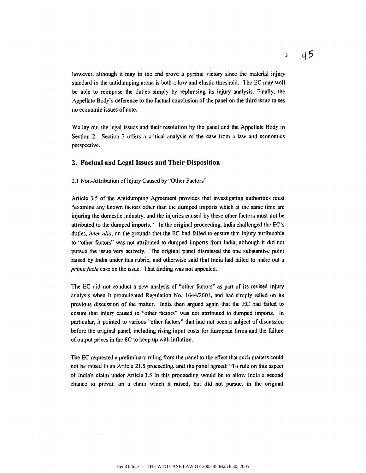however, although it may in the end prove **a** pyrrhic victory since the material injury standard in the antidumping arena is both a low and elastic threshold. The **EC** may well **be** able to reimpose the duties simply **by** rephrasing its injury analysis. Finally, the Appellate Body's deference to the factual conclusion of the panel on the third issue raises no economic issues of note.

We lay out the legal issues and their resolution **by** fhe panel and the Appellate Body in Section 2. Section 3 offers a critical analysis of the case from a law and economics perspective.

### **2. Factual and Legal Issues and Their Disposition**

2.1 Non-Attribution of Injury Caused **by** "Other Factors"

Article 3.5 of the Antidumping Agreement provides that investigating authorities must "examine any known factors other than the dumped imports **which** at the same time are injuring the domestic industry, and the injuries caused **by** these other factors must not **be** attributed to the dumped imports." In the original proceeding, India challenged the EC's duties, *inter alia*, on the grounds that the EC had failed to ensure that injury attributable to "other factors" was not attributed to dumped imports from India, although it did not pursue the issue very actively. **The** original panel dismissed the one substantive point raised **by** India under this rubric, and otherwise said that India had failed to make out a prima facie case on the issue. That finding was not appealed.

The **EC** did not conduct a new analysis of "other factors" as part of its revised injury analysis when it promulgated Regulation No. 1644/2001, and had simply relied on its previous discussion of the matter. India then argued again that the **EC** had failed to ensure that injury caused to "other fhctors" was not attributed to dumped imports. In particular, it pointed to various "other factors" that **had** not **been a** subject of discussion before the original panel, including rising input costs for European firms and the failure of output prices in the **EC** to keep **up** with inflation.

*The* **EC** requested a preliminary niling from the panel to the effect that such matters could not **be** raised in an Article **21.5** proceeding. and the panel agreed: "To rule on this aspect of India's claim under Article **3.5** in this proceeding would **be** to allow India a second chance to prevail on a claim which it raised, but did not pursue, in the original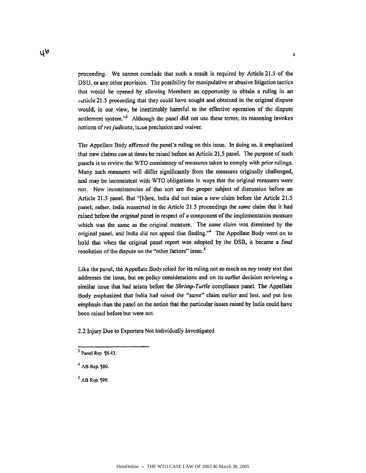proceeding. We cannot conclude that such a result is required **by** Article 21.5 of **the DSU,** or any other provision. The possibility for manipulative or abusive litigation tactics that would be opened by allowing Members an opportunity to obtain a ruling in an r,-rticle 21.5 proceeding that they could have sought and obtained in the original dispute would, in our view, be inestimably harmful to the effective operation of **the** dispute settlement system. $<sup>3</sup>$  Although the panel did not use these terms, its reasoning invokes</sup> notions of res judicata, issue preclusion and waiver.

The Appellate Body affirmed the panel's ruling on this issue. In doing so, it emphasized that new claims *can* at times be raised before an Article 21.5 panel. The purpose of such panels is to review the WTO consistency **of** measures taken to comply with prior rulings. Many such measures will differ significantly from the measures originally challenged, and may be inconsistent with WTO obligations in ways that the original measures were not. **New** inconsistencies of **that** sort are the proper subject of discussion before an Article 21.5 panel. But "[hlere, India did not raise a **new** claim before the Article 21.5 panel; rather, India reasserted in the Article 21.5 proceedings the *same* claim that it had raised before the *original* panel in respect of a component of the implementation measure which was the same as the original measure. The *same* claim was dismissed **by** the original panel, and India did not appeal that finding."<sup>4</sup> The Appellate Body went on to hold that when the original panel report was adopted **by** the **DSB,** it became a final resolution of the dispute on the "other factors" issue.<sup>5</sup>

Like the panel, the Appellate Body relied for its ruling not so much on any treaty text that addresses the issue, but on policy considerations and on its earlier decision reviewing a similar issue that had arisen before the *Shrimp-Turtle* compliance panel. The Appellate Body emphasized that India had raised the "same" claim earlier and lost, and put less emphasis than the panel on the notion that the particular issues raised **by** India could **have** been raised before but were not.

2.2 Injury Due to Exporters Not Individually Investigated

i AB **Rep. 99.**

**<sup>3</sup> Panel Rep 6,43.**

<sup>4</sup> AB Rep. **80.**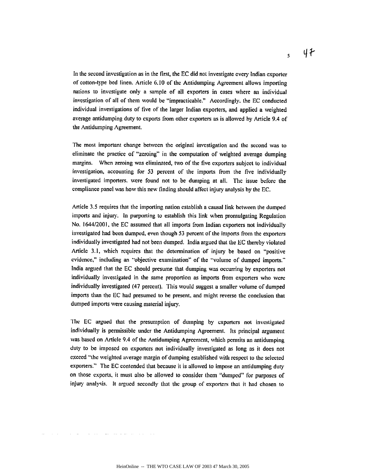**5**

In the second investigation as in the first, the **EC** did not investigate **every** Indian exporter of cotton-type bed linen. Article 6.10 of the Antidumping Agreement allows importing nations to investigate only a sample of **all** exporters in cases where an individual investigation of **all** of them would be "impracticable." Accordingly, the **EC** conducted individual investigations of five of the larger Indian exporters, and applied a weighted average antidumping duty to exports from other exporters as is allowed **by** Article 9.4 of the Antidumping Agreement.

The most important change between the original investigation and the second was **to** eliminate the practice of "zeroing" in the computation of weighted average dumping margins. When zeroing was eliminated, two of the five exporters subject to individual investigation, accounting for **53** percent of the imports from the live individually investigated importers. were found not to be dumping at all. The issue before the compliance panel was how this new finding should afl'cct injury analysis **by** the EC.

Article 3.5 requires that the importing nation establish a causal link between the dumped imports and injury. **In** purporting to establish this link when promulgating Regulation No. 1644/2001, the **EC** assumed that all imports from Indian exporters not individually investigated had been dumped, even though 53 percent of the imports from the exporters individually investigated had not been dumped. India argued that the **EC** thereby violated Article **3.1,** which requires that the determination of injury be based on "positive evidence," including an "objective examination" of the "volume of dumped imports." India argued that the EC should presume that dumping was occurring **by** exporters not individually investigated in the same proportion as imports from exporters who were individually investigated (47 percent). This would suggest a smaller volume of dumped imports than the EC had presumed to **be** present. and might reverse the conclusion that dumped imports were causing material injury.

The EC argued that the presumption of dumping by exporters not investigated individually is permissible under the Antidumping Agreement. Its principal argument was based on Article 9.4 of the Antidumping Agreement, which permits an antidumping duty to be imposed on exporters not individually investigated as long as it does not exceed "the weighted average margin of dumping established with respect to the selected exporters." The **EC** contended that because it is allowed to impose an antidumping duty on those exports, it must also be allowed to consider them "dumped" for purposes of injury analysis. It argued secondly that the group of exporters that it had chosen to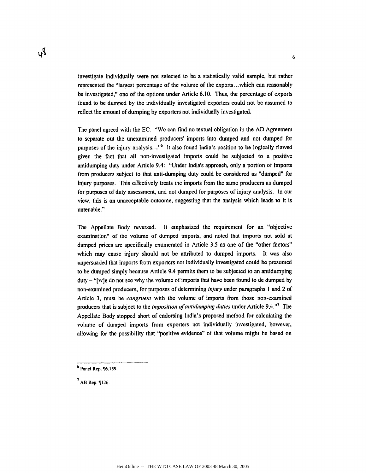investigate individually were not selected to be a statistically valid sample, but rather represented the "largest percentage of the volume of the exports...which can reasonably be investigated," one of the options under Article **6.10.** Thus, the percentage of exports found **to** be dumped **by** the individually investigated exporters could not be assumed to reflect the amount of dumping **by** exporters not individually investigated.

The panel agreed with the **EC. "We** can find no textual obligation in the **AD** Agreement to separate out the unexamined producers' imports into dumped and not dumped for purposes of the injury analysis..."<sup>6</sup> It also found India's position to be logically flawed given the fact that all non-investigated imports could be subjected to a positive antidumping duty under Article 9.4: "Under India's approach, only a portion of imports from producers subject to that anti-dumping duty could be considered as "dumped" for injury purposes. This effectively treats the imports from the same producers as dumped for purposes of duty assessment, and not dumped for purposes of injury analysis. In our view, this is an unacceptable outcome, suggesting that the analysis which leads to it is untenable."

The Appellate Body reversed. It emphasized the requirement for an "objective examination" of the volume of dumped imports, and noted that imports not sold **at** dumped prices **are** specifically enumerated in Article **3.5** as one of the "other factors" which may cause injury should not **be** attributed to dumped imports. It was also unpersuaded that imports from exporters not individually investigated could **be** presumed to be dumped simply because Article 9.4 permits them to be subjected to an antidumping duty - **"[w]e** do not see **why** the volume of imports that have been found to de dumped **by** non-examined producers, for purposes of determining injury under paragraphs **I** and 2 of Article **3,** must **be** congruent with the volume of imports from those non-examined producers that is subject to the *imposition of antidumping duties* under Article 9.4."<sup>7</sup> The Appellate Body stopped short of endorsing India's proposed method for calculating the volume **of** dumped imports from exporters not individually investigated, however, allowing for the possibility that "positive evidence" of that volume might be based on

**<sup>6</sup> Panel Rep. 6.139.**

**<sup>7</sup> AB Rep. 126.**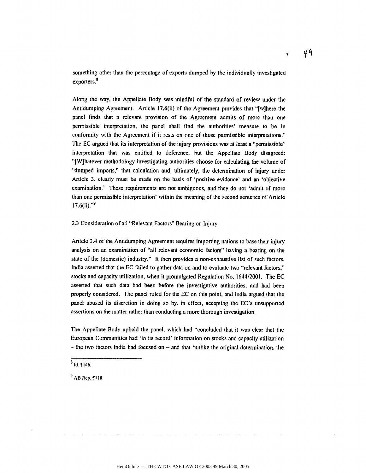something other than the percentage of exports dumped by the individually investigated exporters.<sup>8</sup>

Along the way, the Appellate Body was mindful of the standard of review under the Antidumping Agreement. Article 17.6(ii) of the Agreement provides that "[wlhere the panel finds that a relevant provision of the Agreement admits of more than one permissible interpretation, the panel shall find the authorities' measure to be in conformity with the Agreement if it rests on one of those permissible interpretations." The EC argued that its interpretation of the injury provisions was at least a "permissible" interpretation that was entitled to deference. but the Appellate Body disagreed: "[W]hatever methodology investigating authorities choose for calculating the volume of "dumped imports," that calculation and, ultimately, the determination of injury under Article **3,** clearly must be made on the basis of 'positive evidence' and an 'objective examination.' These requirements are not ambiguous, and they do not 'admit of more than one permissible interpretation' within the meaning of the second sentence of Article  $17.6$ (ii). $^{49}$ 

2.3 Consideration of all "Relevant Factors" Bearing on Injury

Article 3.4 of the Antidumping Agreement requires importing nations to base their injury analysis on an examination of "all relevant economic factors" having a bearing on the state of the (domestic) industry." It then provides a non-exhaustive list of such factors. India asserted that the EC failed to gather data on and to evaluate two "relevant factors," stocks and capacity utilization, when it promulgated Regulation No. 1644/2001. The **EC** asserted that such data had been before the investigative authorities, **mid** had been properly considered. The panel ruled for the EC on this point, and India argued that the panel abused its discretion in doing so by. in effect, accepting the EC's unsupported assertions on the matter rather than conducting a more thorough investigation.

The Appellate Body upheld the panel, which had "concluded that it was clear that the European Communities had 'in its record' infbrmation on stocks and capacity utilization **-** the two factors India had focused on - and that 'unlike the original determination, the

**<sup>8</sup> Id.** 1146.

**AB** Rep. **118.**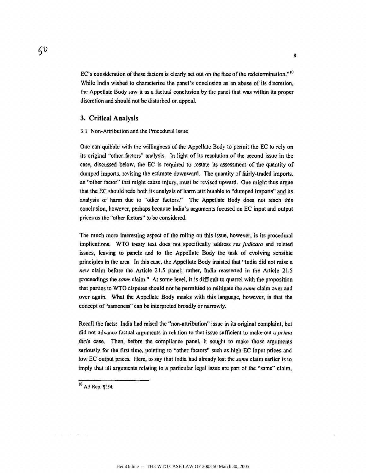EC's consideration of these factors is clearly set out on the face of the redetermination."<sup>10</sup> While India wished to characterize the panel's conclusion as an abuse of its discretion, the Appellate Body saw it as a factual conclusion **by** the panel that was within its proper discretion and should not be disturbed on appeal.

### **3.** Critical Analysis

#### **3.1** Non-Attribution and the Procedural Issue

One can quibble with the willingness of the Appellate Body to permit the **EC** to rely on its original "other factors" analysis. In light of its resolution of the second issue in the case, discussed below, the EC is required to restate its assessment of the quantity of dumped imports, revising the estimate downward. The quantity of fairly-traded imports. an "other factor" that might cause injury, must be revised upward. One might thus argue that the EC should redo both its analysis of harm attributable to "dumped imports" and its analysis of harm due to "other factors." **The** Appellate Body does not reach this conclusion, however, perhaps because India's arguments focused on EC input and output prices as the "other factors" to **be** considered.

The much more interesting aspect of the ruling on this issue, however, is its procedural implications. WTO treaty text does not specifically address res judicata and related issues, leaving to panels and to the Appellate Body the task of evolving sensible principles in the area. In this case, the Appellate Body insisted that "India did not raise a new claim before the Article **21.5** panel; rather, India reasserted in the Article 21.5 proceedings the *same* claim." At some level, it is difficult to quarrel with the proposition that parties to WTO disputes should not be permitted to relitigate the *same* claim over and over again. What the Appellate Body masks with this language, however, is that the concept of"sameness" can be interpreted broadly or narrowly.

Recall the facts: India had raised the "non-attribution" issue in its original complaint, but did not advance factual arguments in relation to that issue sufficient to make out a *prima facie* case. Then, before the compliance panel, it sought to make those arguments seriously for the first time, pointing to "other factors" such as high EC input prices and low EC output prices. Here, to say that India had already lost the *same* claim earlier is to imply that all arguments relating to a particular legal issue are part of the "same" claim,

**<sup>10</sup>** AB Rep, 154.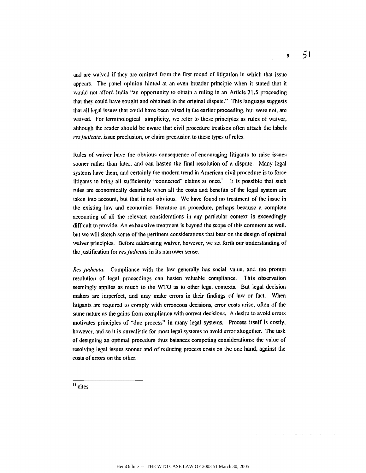and are waivcd if they are omitted from the first round of litigation in which that issue appears. The panel opinion hinted at an even broader principle when it stated that it would not afford India "an opportunity to obtain a ruling in an Article 21.5 procecding that they could have sought and obtained in the original dispute." This language suggests that all legal issues that could have been raised in the earlier proceeding, but were not, arc waived. For terminological simplicity, we refer to these principles as rules of waiver, although the reader should be aware that civil procedure treatises often attach the labels res judicata, issue preclusion, or claim preclusion to these types of rules.

Rules of waiver have the obvious consequence of encouraging litigants to raise issues sooner rather than later, and can hasten the final resolution of a dispute. Many legal systems have them, and certainly the modem trend in American civil procedure is to force litigants to bring all sufficiently "connected" claims at once.<sup>11</sup> It is possible that such rules are economically desirable when all the costs and benelits of the legal system are taken into account, but that is not obvious. We have found no treatment of the issue in the existing law and economics literature on procedure, perhaps because a complete accounting of all the relevant considerations in any particular context is exceedingly difficult to provide. An exhaustive treatment is beyond the scope of this cormnent as well. but we will sketch some of the pertinent considerations that bear on the design of optimal waiver principles. Before addressing waiver, however, we set forth our understanding of the justification for res judicata in its narrower sense.

*Res judicata.* Compliance with the law generally has social value, and the prompt resolution of legal proceedings can hasten valuable compliance. This observation seemingly applies as much to the WTO as to other legal contexts. But legal decision makers are imperfect, and may make errors in their findings of law or fact. When litigants are required to comply with erroneous decisions, error costs arise, often of the same nature as the gains from compliance with correct decisions. A desire to avoid errors motivates principles of "due process" in many legal systems. Process itself is costly, however, and so it is unrealistic for most legal systems to avoid error altogether. The task of designing an optimal procedure thus balances competing considerations: the value of resolving legal issues sooner and of reducing process costs on the one hand, against the costs of errors on the other.

**I** cites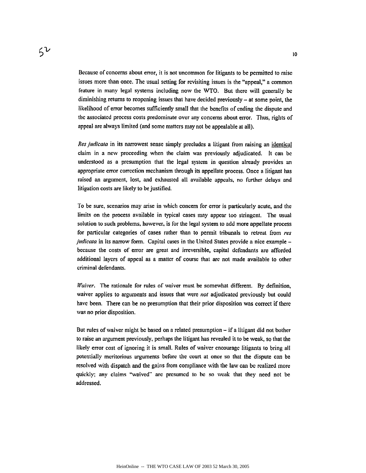Because of concerns about error, it is not uncommon for litigants to **be** permitted to raise issues more than once. The usual setting for revisiting issues is the "appeal," a common feature in many legal systems including now the WTO. But there will generally **be** diminishing returns to reopening issues that have decided previously  $-$  at some point, the likelihood of error becomes sufficiently small that the benefits of ending the dispute and the associated process costs predominate over any concerns about error. Thus, rights of appeal are always limited (and some matters may not be appealable at all).

Res judicata in its narrowest sense simply precludes a litigant from raising an identical claim in a new proceeding when the claim was previously adjudicated. **It** can be understood as a presumption that the legal system in question already provides an appropriate error correction mechanism through its appellate process. Once a litigant has raised an argument, lost, and exhausted all available appeals, **no** further delays and litigation costs are likely to be justified.

To be sure, scenarios may arise in which concern for error is particularly acute, and the limits on the process available in typical cases may appear too stringent. The usual solution to such problems, however, is for the legal system to add more appellate process for particular categories of cases rather than to permit tribunals to retreat from res judicata in its narrow form. Capital cases in the United States provide a nice example  $$ because the costs of error are great and irreversible, capital defendants are afforded additional layers of appeal as a matter of course that are not made available to other criminal defendants.

Waiver. The rationale for rules of waiver must be somewhat different. By definition, waiver applies to arguments and issues that were not adjudicated previously but could have been. There can be no presumption that their prior disposition was correct if there was no prior disposition.

But rules of waiver might be based on a related presumption **-** if a litigant did not bother to raise an argument previously, perhaps the litigant has revealed it to be weak, so that the likely error cost of ignoring it is small. Rules of waiver encourage litigants to bring all potentially meritorious arguments before the court at once so that the dispute can be resolved with dispatch and the gains from compliance with the law can **be** realized more quickly; any claims "waived" arc presumed to be so weak that they need not be addressed.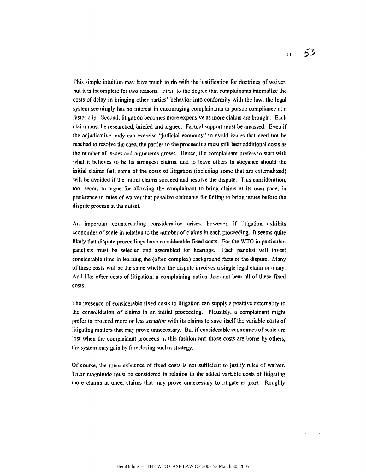$\sim$   $\sim$ 

 $\overline{11}$ 

This simple intuition may have much to do with the justification for doctrines of waiver, but it is incomplete for two reasons. First, to **the** degree that complainants internalize the costs of delay in bringing other parties' behavior into conformity with the law, the legal system seemingly has no interest in encouraging complainants to pursue compliance at a faster clip. Second, litigation becomes more expensive as more claims are brought. Each claim must he researched, briefed and argued. Factual support must be amassed. Even if the adjudicative body can exercise "judicial economy" to avoid issues that need not be reached to resolve the case, the parties to the proceeding must still bear additional costs as the number of issues and arguments grows. Hence, if a complainant prefers to start with what it believes to be its strongest claims, and to leave others in abeyance should the initial claims fail, some of the costs of litigation (including some that are externalized) will be avoided if the initial claims succeed and resolve the dispute. This consideration, too, seems to argue for alloving the complainant to bring claims at its own pace, in preference to rules of waiver that penalize claimants for failing to bring issues before the dispute process at the outset.

An important countervailing consideration arises, however, if litigation exhibits economies of scale in relation to the number of claims in each proceeding. It seems quite likely that dispute proceedings have considerable fixed costs. For the WTO in particular. panelists must be selected and assembled for hearings. Each panelist will invest considerable time in learning the (often complex) background facts of the dispute. Many of these costs will be the same whether the dispute involves a single legal claim or many. And like other costs of litigation, a complaining nation does not bear all of these fixed costs.

The presence of considerable fixed costs to litigation can supply a positive externality to the consolidation of claims in an initial proceeding. Plausibly, a complainant might prefer to proceed more or less *seriatim* with its claims to save itself the variable costs of litigating matters that may prove unnecessary. But if considerable economies of scale are lost when the complainant proceeds in this fashion and those costs are borne by others, the system may gain by foreclosing such a strategy.

Of course, the mere existence of fixed costs is not sufficient to justify rules of waiver. Their magnitude must be considered in relation to the added variable costs of litigating more claims at once, claims that may prove unnecessary to litigate ex post. Roughly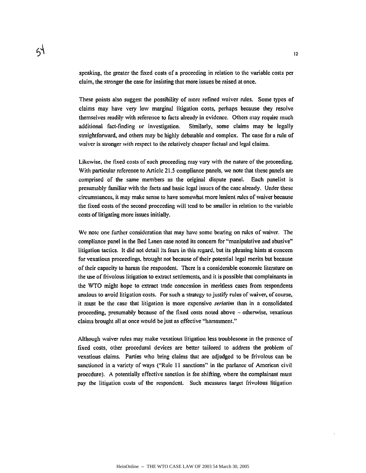speaking, the greater the fixed costs of a proceeding in relation to the variable costs **per** claim, the stronger the case for insisting that more issues be raised **at** once.

These points also suggest the possibility of more refined waiver rules. Some types of claims may have very low marginal litigation costs, perhaps because they resolve themselves readily with reference to facts already in evidence. Others may require much additional fact-finding or investigation. Similarly, some claims may be legally straightforward, and others may be highly debatable and complex. The case for a rule of waiver is stronger with respect to the relatively cheaper factual and legal claims.

Likewise, the fixed costs of each proceeding may vary with the nature of the proceeding. With particular reference to Article 21.5 compliance panels, we note that these panels are comprised of the same members as the original dispute panel. Each panelist is presumably familiar with the facts and basic legal issues of the case already. Under these circumstances, it may make sense to have somewhat more lenient rules of waiver because the fixed costs of the second proceeding will tend to be smaller in relation to the variable costs of litigating more issues initially.

We note one further consideration that may have some bearing on rules of waiver. *The* compliance panel in the Bed Linen case noted its concern for "manipulative and abusive" litigation tactics. It did not detail its fears in this regard, but its phrasing hints at concern for vexatious proceedings, brought not because of their potential legal merits but because of their capacity to harass the respondent. There is a considerable economic literature on the use of frivolous litigation to extract settlements, and it is possible that complainants in the WTO might hope to extract trade concession in meritless cases from respondents anxious to avoid litigation costs. For such a strategy to justify rules of waiver, of course, it must be the case that litigation is more expensive seriatim than in a consolidated proceeding, presumably because of the fixed costs noted above - otherwise, vexatious claims brought all at once would be just as effective "harassment."

Although waiver rules may make vexatious litigation less troublesome in the presence **of** fixed costs, other procedural devices are better tailored to address the problem of vexatious claims. Parties who bring claims that are adjudged to be frivolous can be sanctioned in a variety of ways ("Rule 11 sanctions" in the parlance of American civil procedure). A potentially effective sanction is fee shifting, where the complainant must pay the litigation costs of the respondent. Such measures target frivolous litigation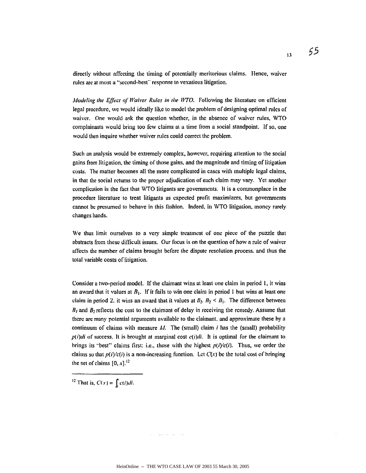directly without affecting **the** timing of potentially meritorious claims. Hence, waiver rules are at most a "second-best" response to vexatious litigation.

*Moding* **the** *Eflbcf of Waiver* **Rules** *in* **the** *WTO.* Following **the** literature on efficient legal procedure, we would ideally like to model the problem of designing optimal rules of waiver. One would ask the question whether, in **the** absence of waiver rules, WTO complainants would bring too **few** claims at a time **from** a social standpoint. **If** so, one would then inquire whether waiver rules could correct the problem.

Such an analysis would **be** extremely complex, however, requiring attention to the social gains from litigation, the timing of those gains, and the magnitude and timing of litigation costs. The matter becomes all the more complicated in cases with multiple legal claims, in that the social returns to the proper adjudication **of** each claim may vary. Yet another complication is the fact that WTO litigants **are** governments. It is a commonplace in the procedure literature to treat litigants as expected profit maximizers, but governments cannot **be** presumed to behave in this flshion. Indeed, in WTO litigation, money rarely changes hands.

We thus limit ourselves to a very simple treatment of one piece of the puzzle that abstracts from these difficult issues. Our focus is **on** the question of how a rule of waiver affects the number of claims brought before the dispute resolution process. and thus the total variable costs of litigation.

Consider **a** two-period model. **If** the claimant wins at least one claim in period **1,** it wins an award that it values at  $B_1$ . If it fails to win one claim in period 1 but wins at least one claim in period 2, it wins an award that it values at  $B_2$ ,  $B_2 \leq B_1$ . The difference between  $B_1$  and  $B_2$  reflects the cost to the claimant of delay in receiving the remedy. Assume that there are many potential arguments available to **the** claimant, and approximate these **by** a continuum of claims with measure *A.* The (small) claim *i* has **the** (small) probability  $p(i)di$  of success. It is brought at marginal cost  $c(i)di$ . It is optimal for the claimant to brings its "best" claims first: i.e., those with the highest  $p(i)/c(i)$ . Thus, we order the claims so that  $p(i)/c(i)$  is a non-increasing function. Let  $C(x)$  be the total cost of bringing the set of claims  $[0, x]$ .<sup>12</sup>

<sup>12</sup> That is,  $C(x) = \int c(i)di$ .

 $13$ 

and and complete the state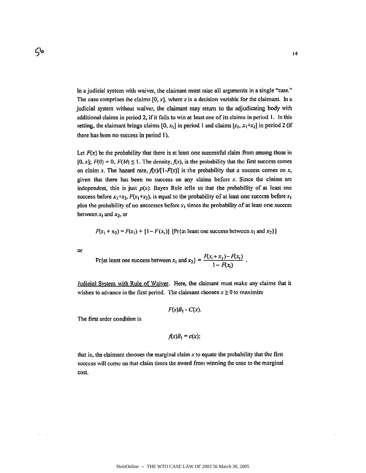In a judicial system with waiver, the claimant must raise all arguments in a single "case." The case comprises the claims  $[0, x]$ , where x is a decision variable for the claimant. In a judicial system without waiver, tie claimant may return to the adjudicating body with additional claims in period 2, if it fails to win at least one of its claims in period **1.** In this setting, the claimant brings claims  $[0, x_1]$  in period 1 and claims  $[x_1, x_1+x_2]$  in period 2 (if there has been no success in period **1).**

Let  $F(x)$  be the probability that there is at least one successful claim from among those in  $[0, x]$ ;  $F(0) = 0$ ,  $F(M) \le 1$ . The density,  $f(x)$ , is the probability that the first success comes on claim x. The hazard rate,  $f(x)/[1-F(x)]$  is the probability that a success comes on x, given that there has been no success on any claims before **x.** Since the claims are independent, this is just  $p(x)$ . Bayes Rule tells us that the probability of at least one success before  $x_1+x_2$ ,  $F(x_1+x_2)$ , is equal to the probability of at least one success before  $x_1$ plus the probability of no successes before  $x_1$  times the probability of at least one success between  $x_1$  and  $x_2$ , or

$$
F(x_1 + x_2) = F(x_1) + [1 - F(x_1)]
$$
 [Pr{at least one success between x<sub>1</sub> and x<sub>2</sub>]}

or

$$
Pr\{\text{at least one success between } x_1 \text{ and } x_2\} = \frac{F(x_1 + x_2) - F(x_1)}{1 - F(x_1)}.
$$

Judicial System with Rule of Waiver. Here, the claimant must make any claims that it wishes to advance in the first period. The claimant chooses  $x \ge 0$  to maximize

$$
F(x)B_1-C(x).
$$

The first order condition is

$$
f(x)B_1 = c(x);
$$

that is, the claimant chooses the marginal claim  $x$  to equate the probability that the first success will come on that claim times the award from winning the case to the marginal cost.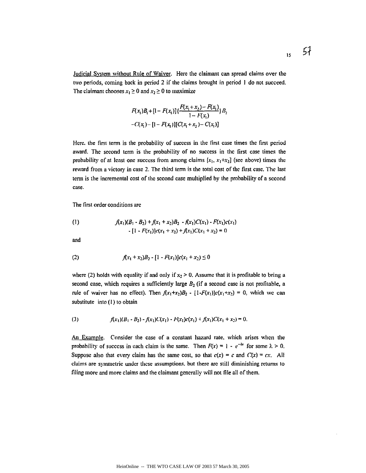Judicial System without Rule of Waiver. Here the claimant can spread claims over the two periods, coming back in period 2 if the claims brought in period **I** do not succeed. The claimant chooses  $x_1 \ge 0$  and  $x_2 \ge 0$  to maximize

$$
F(x_1)B_1 + [1 - F(x_1)]\left\{\frac{F(x_1 + x_2) - F(x_1)}{1 - F(x_1)}\right\}B_2
$$
  
-C(x<sub>1</sub>) - [1 - F(x<sub>1</sub>)][C(x<sub>1</sub> + x<sub>2</sub>) - C(x<sub>1</sub>)]

Here. the first term is the probability of success in the first case times the first period award. The second term is the probability of no success in the first case times the probability of at least one success from among claims  $[x_1, x_1+x_2]$  (see above) times the reward from a victory in case 2. The third term is the total cost of the first case. The last term is the incremental cost of the second case multiplied by the probability of a second case.

The first order conditions are

(1) 
$$
f(x_1)(B_1 - B_2) + f(x_1 + x_2)B_2 - f(x_1)C(x_1) - F(x_1)c(x_1) - \left[1 - F(x_1)(x_1 + x_2) + f(x_1)C(x_1 + x_2) \right] = 0
$$

and

(2) 
$$
f(x_1 + x_2)B_2 - [1 - F(x_1)]c(x_1 + x_2) \le 0
$$

where (2) holds with equality if and only if  $x_2 > 0$ . Assume that it is profitable to bring a second case, which requires a sufficiently large  $B_2$  (if a second case is not profitable, a rule of waiver has no effect). Then  $f(x_1+x_2)B_2$  **-**  $[1-F(x_1)]c(x_1+x_2) = 0$ , which we can substitute into (I) to obtain

(3) 
$$
f(x_1)(B_1 - B_2) - f(x_1)C(x_1) - F(x_1)c(x_1) + f(x_1)C(x_1 + x_2) = 0.
$$

An Example. Consider the case of a constant hazard rate. which arises when the probability of success in each claim is the same. Then  $F(x) = 1 - e^{-\lambda x}$  for some  $\lambda > 0$ . Suppose also that every claim has the same cost, so that  $c(x) = c$  and  $C(x) = cx$ . All claims are symmetric under these assumptions. but there are still diminishing returns to filing more and more claims and the claimant generally will not file all of them.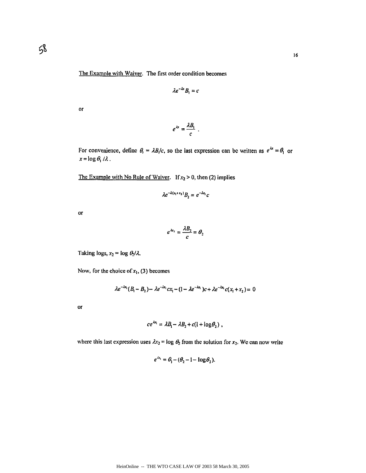The Example with Waiver. The first order condition becomes

$$
\lambda e^{-\lambda x} B_1 = c
$$

**or**

$$
e^{\lambda x}=\frac{\lambda B_i}{c}.
$$

For convenience, define  $\theta_i = \lambda B/c$ , so the last expression can be written as  $e^{\lambda x} = \theta_1$  or  $x = \log \theta_1 / \lambda$ .

The Example with No Rule of Waiver. If  $x_2 > 0$ , then (2) implies

$$
\lambda e^{-\lambda(x_1+x_1)}B_2=e^{-\lambda x_1}c
$$

or

$$
e^{\lambda x_1} = \frac{\lambda B_2}{c} = \theta_2
$$

Taking logs,  $x_2 = \log \theta_2 / \lambda$ .

Now, for the choice of  $x_1$ , (3) becomes

$$
\lambda e^{-\lambda x_1} (B_1 - B_2) - \lambda e^{-\lambda x_1} c x_1 - (1 - \lambda e^{-\lambda x_1}) c + \lambda e^{-\lambda x_1} c (x_1 + x_2) = 0
$$

or

$$
ce^{\lambda x_1} = \lambda B_1 - \lambda B_2 + c(1 + \log \theta_2),
$$

where this last expression uses  $\lambda x_2 = \log \theta_2$  from the solution for  $x_2$ . We can now write

$$
e^{\lambda t_1} = \theta_1 - (\theta_2 - 1 - \log \theta_2).
$$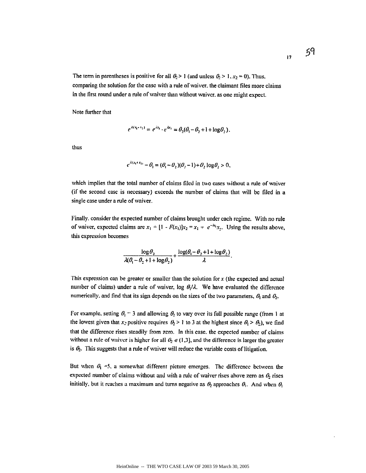The term in parentheses is positive for all  $\theta_2 > 1$  (and unless  $\theta_2 > 1$ ,  $x_2 = 0$ ). Thus. comparing the solution for the case with a rule of waiver, the claimant files more claims in the lirst round under a rule of waiver than without waiver, as one might expect.

Note further that

$$
e^{\lambda(\tau_1+\tau_2)}=e^{\lambda x_1}\cdot e^{\lambda x_2}=0_2(0_1-0_2+1+\log 0_2).
$$

thus

$$
e^{\lambda(x_1 + x_2)} - \theta_1 = (\theta_1 - \theta_2)(\theta_1 - 1) + \theta_2 \log \theta_2 > 0,
$$

which implies that the total number of claims filed in two cases without a rule of waiver (if the second case is necessary) exceeds the number of claims that will be filed in a single case under a rule of waiver.

Finally. consider the expected number of claims brought under each regime. With no rule of waiver, expected claims are  $x_1 + [1 - F(x_1)]x_2 = x_1 + e^{-\lambda t_1}x_2$ . Using the results above, this expression becomes

$$
\frac{\log \theta_2}{\lambda(\theta_1-\theta_2+1+\log \theta_2)}+\frac{\log(\theta_1-\theta_2+1+\log \theta_2)}{\lambda}.
$$

This expression can be greater or smaller than the solution for  $x$  (the expected and actual number of claims) under a rule of waiver, log  $\theta_1/\lambda$ . We have evaluated the difference numerically, and find that its sign depends on the sizes of the two parameters,  $\theta_1$  and  $\theta_2$ .

For example, setting  $\theta_1$  – 3 and allowing  $\theta_2$  to vary over its full possible range (from 1 at the lowest given that  $x_2$  positive requires  $\theta_2 > 1$  to 3 at the highest since  $\theta_1 > \theta_2$ ), we find that the difference rises steadily from zero. In this case, the expected number of claims without a rule of waiver is higher for all  $\theta_2 \in (1,3]$ , and the difference is larger the greater is  $\theta_2$ . This suggests that a rule of waiver will reduce the variable costs of litigation.

But when  $\theta_1 = 5$ , a somewhat different picture emerges. The difference between the expected number of claims without and with a rule of waiver rises above zero as  $\theta_2$  rises initially, but it reaches a maximum and turns negative as  $\theta_2$  approaches  $\theta_1$ . And when  $\theta_1$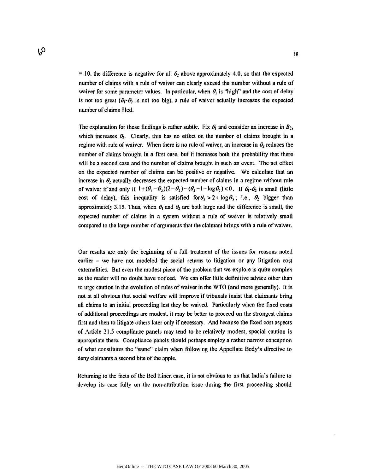$= 10$ , the difference is negative for all  $\theta_2$  above approximately 4.0, so that the expected number of claims with a rule of waiver can clearly exceed the number without a rule of waiver for some parameter values. In particular, when  $\theta_1$  is "high" and the cost of delay is not too great  $(\theta_1 - \theta_2)$  is not too big), a rule of waiver actually increases the expected number of claims filed.

The explanation for these findings is rather subtle. Fix  $\theta_1$  and consider an increase in  $B_2$ , which increases  $\theta_1$ . Clearly, this has no effect on the number of claims brought in a regime with rule of waiver. When there is no rule of waiver, an increase in  $\theta_2$  reduces the number of claims brought in a first case, but it increases both the probability that there will be a second case and the number of claims brought in such an event. The net eflect on the expected number of claims can be positive or negative. We calculate that an increase in  $\theta_1$  actually decreases the expected number of claims in a regime without rule of waiver if and only if  $1 + (\theta_1 - \theta_2)(2 - \theta_2) - (\theta_2 - 1 - \log \theta_2) < 0$ . If  $\theta_1 - \theta_2$  is small (little cost of delay), this inequality is satisfied for  $\theta_2 > 2 + \log \theta_2$ ; i.e.,  $\theta_2$  bigger than approximately 3.15. Thus, when  $\theta_1$  and  $\theta_2$  are both large and the difference is small, the expected number of claims in a system without a rule of waiver is relatively small compared to the large number of arguments that the claimant brings with a rule of waiver.

Our results are only the beginning of a full treatment of the issues for reasons noted earlier – we have not modeled the social returns to litigation or any litigation cost externalities. But even the modest piece of the problem that we explore is quite complex as the reader will no doubt have noticed. We can offer little definitive advice other than to urge caution in the evolution of rules of waiver in the WTO (and more generally). It is not at all obvious that social welfare will improve if tribunals insist that claimants bring all claims to an initial proceeding lest they be waived. Particularly when the fixed costs of additional proceedings are modest, it may be better to proceed on the strongest claims first and then to litigate others later only if necessary. And because the fixed cost aspects of Article 21.5 compliance panels may tend to be relatively modest, special caution is appropriate there. Compliance panels should perhaps employ a rather narrow conception of what constitutes the "same" claim when following the Appellate Body's directive to deny claimants a second bite of the apple.

Returning to the facts of the Bed Linen case, it is not obvious to us that India's failure to develop its case fully on the non-attribution issue during the first proceeding should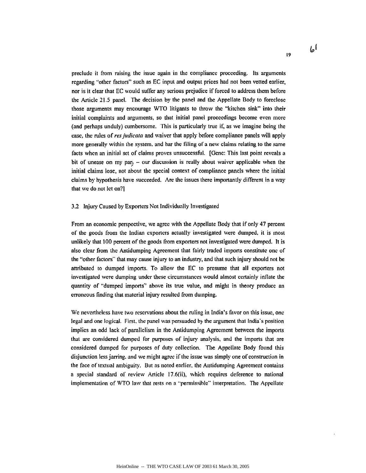preclude it from raising the issue again in the compliance proceeding. Its arguments regarding "'other factors" such as **EC** input and output prices had not been vetted earlier, nor is it clear that EC would suffer any serious prejudice if forced to address them before the A rticle 21.5 panel. The decision **by** the panel and the Appellate Body to foreclose those arguments may encourage **WTO** litigants to throw the "kitchen sink" into their initial complaints and arguments, so that initial panel proceedings become even more (and perhaps unduly) cumbersome. This is particularly true **if,** as we imagine being the case, the rules of res judicata and waiver that apply before compliance panels will apply more generally within the system. and bar the filing of a new claims relating to the same facts when an initial set of claims proves unsuccessful. [Gcne: This last point reveals a bit of unease on my par, **-** our discussion is really about waiver applicable when the initial claims lose, not about the special context of compliance panels where the initial claims **by** hypothesis have succeeded. Are the issues there importantly different in a way that we do not let **on?]**

#### **3.2** Injury Caused **by** Exporters Not Individually Investigated

From an economic perspective, we agree with the Appellate Body that if only 47 percent of the goods from the Indian exporters actually investigated were dwnped. it is most unlikely that 100 percent of the goods from exporters not investigated were dumped. It is also clear from the Antidumping Agreement that fairly traded imports constitute one of the "other factors" that may cause injury to an industry, and that such injury should not be attributed to dumped imports. To allow the **EC** to presume that **all** exporters not investigated were dumping under these circumstances would almost certainly inflate the quantity of "dumped imports" above its true value, and might in theory produce an erroneous finding that material injury resulted from dumping.

We nevertheless have two reservations about the ruling in India's favor on this issue, one legal and one logical. First, the panel was persuaded **by** the argument that India's position implies an odd lack of parallelism in the Antidumping Agreement between the imports that are considered dumped for purposes **of** injury analysis, and the imports that are considered dumped for purposes of duty collection. The Appellate Body found this disjunction less jarring. and we might agree if the issue was simply one of construction in the face of textual ambiguity. But as noted earlier, the Antidumping Agreement contains a special standard of review Article 17.6(i), which requires deference to national implementation of WTO law that rests on a "permissible" interpretation. The Appellate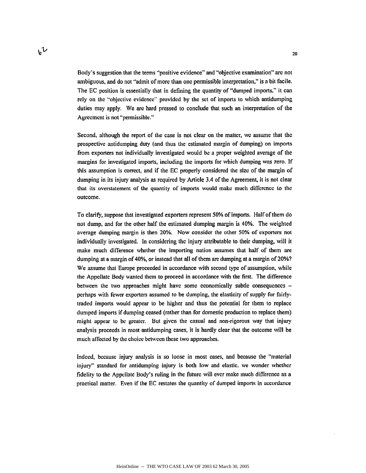

Agreement is not "permissible."

 $b^{\mathcal{U}}$ 

Second, although the report of the case is not clear on the matter, we assume that the prospective antidumping duty (and thus the estimated margin of dumping) on imports **fi'om** exporters not individually investigated would be a proper weighted average of the margins for investigated imports, including the imports for which dumping was zero. **If** this assumption is correct, and if the **EC** properly considered the size of the margin of dumping in its injury analysis as required **by** Article 3.4 of the Agreement, it is not clear that its overstatement of the quantity of imports would make much difference to the outcome.

To clarify, suppose that investigated exporters represent 50% of imports. Half of them do not dump, and for the other half the estimated dumping margin is 40%. The weighted average dumping margin is then 20%. Now consider the other 50% of exporters not individually investigated. In considering the injury attributable to their dumping, will it make much difference whether the importing nation assumes that half of them are dumping at a margin of 40%, or instead that all of them are dumping at a margin of 20%? We assume that Europe proceeded in accordance with second type of assumption, while the Appellate Body wanted them to proceed in accordance with the first. The difference between the two approaches might have some economically subtle consequences – perhaps with fewer exporters assumed to be dumping, the elasticity of supply for fairlytraded imports would appear to be higher and thus the potential for them to replace dumped imports if dumping ceased (rather than for domestic production to replace them) might appear to be greater. But given the casual and non-rigorous way that injury analysis proceeds in most antidumping cases, it is hardly clear that the outcome will be much allected by the choice between these two approaches.

Indeed, because injury analysis is so loose in most cases, and because the "material injury" standard for antidumping injury is both low and elastic, we wonder whether fidelity to the Appellate Body's ruling in the future will ever make much difference as a practical matter. Even if the EC restates the quantity of dumped imports in accordance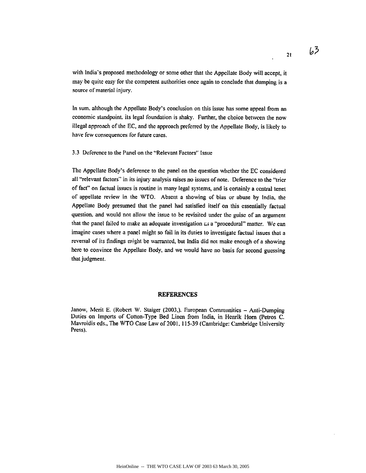with India's proposed methodology or some other that the Appellate Body will accept, it may be quite easy for the competent authorities once again to conclude that dumping is a source of material injury.

In sum, although the Appellate Body's conclusion on this issue has some appeal from an economic standpoint, its legal foundation is shaky. Further, the choice between the now illegal approach of the EC, and the approach preferred by the Appellate Body, is likely to have few consequences for future cases.

3.3 Deference to the Panel on the "Relevant Factors" Issue

The Appellate Body's deference to the panel on the question whether the EC considered all "relevant factors" in its injury analysis raises no issues of note. Deference to the "trier of fact" on factual issues is routine in many legal systems, and is certainly a central tenet of appellate review in the WTO. Absent a showing of bias or abuse by India, the Appellate Body presumed that the panel had satisfied itself on this essentially factual question, and would not allow the issue to be revisited under the guise of an argument that the panel failed to make an adequate investigation  $\epsilon$ , a "procedural" matter. We can imagine cases where a panel might so fail in its duties to investigate factual issues that a reversal of its findings might be warranted, but India did not make enough of a showing here to convince the Appellate Body, and we would have no basis for second guessing that judgment.

#### **REFERENCES**

Janow, Merit **E.** (Robert W. Staiger (2003,). European Communities **-** Anti-Dumping Duties on Imports of Cotton-Type Bed Linen from India, in Henrik Horn (Petros C. Mavroidis eds., The WTO Case Law of 2001, 115-39 (Cambridge: Cambridge University Press).

 $63$